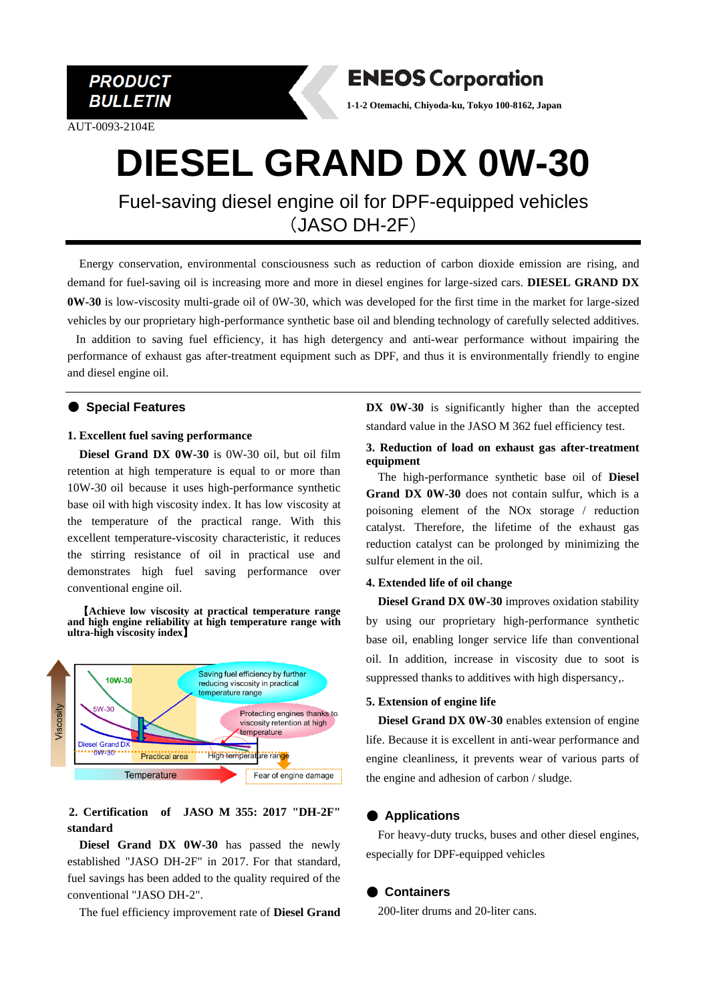**PRODUCT BULLETIN** 

AUT-0093-2104E

**ENEOS Corporation** 

**1-1-2 Otemachi, Chiyoda-ku, Tokyo 100-8162, Japan**

# **DIESEL GRAND DX 0W-30**

Fuel-saving diesel engine oil for DPF-equipped vehicles (JASO DH-2F)

Energy conservation, environmental consciousness such as reduction of carbon dioxide emission are rising, and demand for fuel-saving oil is increasing more and more in diesel engines for large-sized cars. **DIESEL GRAND DX 0W-30** is low-viscosity multi-grade oil of 0W-30, which was developed for the first time in the market for large-sized vehicles by our proprietary high-performance synthetic base oil and blending technology of carefully selected additives.

In addition to saving fuel efficiency, it has high detergency and anti-wear performance without impairing the performance of exhaust gas after-treatment equipment such as DPF, and thus it is environmentally friendly to engine and diesel engine oil.

## ● **Special Features**

#### **1. Excellent fuel saving performance**

**Diesel Grand DX 0W-30** is 0W-30 oil, but oil film retention at high temperature is equal to or more than 10W-30 oil because it uses high-performance synthetic base oil with high viscosity index. It has low viscosity at the temperature of the practical range. With this excellent temperature-viscosity characteristic, it reduces the stirring resistance of oil in practical use and demonstrates high fuel saving performance over conventional engine oil.

【**Achieve low viscosity at practical temperature range and high engine reliability at high temperature range with ultra-high viscosity index**】



# **2. Certification of JASO M 355: 2017 "DH-2F" standard**

**Diesel Grand DX 0W-30** has passed the newly established "JASO DH-2F" in 2017. For that standard, fuel savings has been added to the quality required of the conventional "JASO DH-2".

The fuel efficiency improvement rate of **Diesel Grand** 

DX 0W-30 is significantly higher than the accepted standard value in the JASO M 362 fuel efficiency test.

#### **3. Reduction of load on exhaust gas after-treatment equipment**

The high-performance synthetic base oil of **Diesel Grand DX 0W-30** does not contain sulfur, which is a poisoning element of the NOx storage / reduction catalyst. Therefore, the lifetime of the exhaust gas reduction catalyst can be prolonged by minimizing the sulfur element in the oil.

#### **4. Extended life of oil change**

**Diesel Grand DX 0W-30** improves oxidation stability by using our proprietary high-performance synthetic base oil, enabling longer service life than conventional oil. In addition, increase in viscosity due to soot is suppressed thanks to additives with high dispersancy,.

#### **5. Extension of engine life**

 **Diesel Grand DX 0W-30** enables extension of engine life. Because it is excellent in anti-wear performance and engine cleanliness, it prevents wear of various parts of the engine and adhesion of carbon / sludge.

# ● **Applications**

For heavy-duty trucks, buses and other diesel engines, especially for DPF-equipped vehicles

## ● **Containers**

200-liter drums and 20-liter cans.